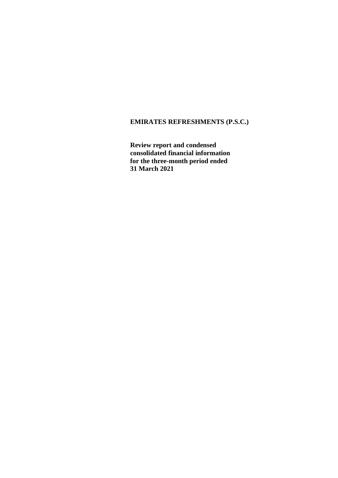**Review report and condensed consolidated financial information for the three-month period ended 31 March 2021**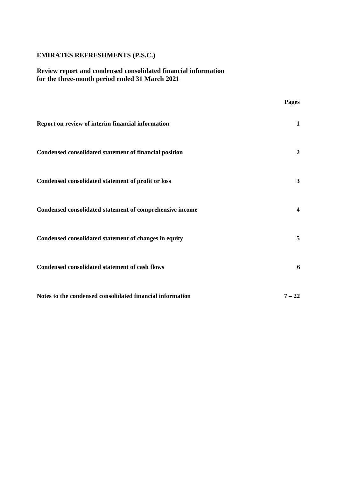# **Review report and condensed consolidated financial information for the three-month period ended 31 March 2021**

|                                                           | Pages                   |
|-----------------------------------------------------------|-------------------------|
| Report on review of interim financial information         | 1                       |
| Condensed consolidated statement of financial position    | $\overline{2}$          |
| Condensed consolidated statement of profit or loss        | $\mathbf{3}$            |
| Condensed consolidated statement of comprehensive income  | $\overline{\mathbf{4}}$ |
| Condensed consolidated statement of changes in equity     | 5                       |
| Condensed consolidated statement of cash flows            | 6                       |
| Notes to the condensed consolidated financial information | $7 - 22$                |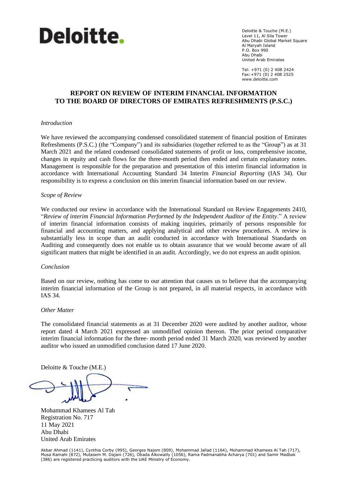

Deloitte & Touche (M.E.) Level 11, Al Sila Tower Abu Dhabi Global Market Square Al Maryah Island P.O. Box 990 Abu Dhabi United Arab Emirates

Tel: +971 (0) 2 408 2424 Fax:+971 (0) 2 408 2525 www.deloitte.com

# **REPORT ON REVIEW OF INTERIM FINANCIAL INFORMATION TO THE BOARD OF DIRECTORS OF EMIRATES REFRESHMENTS (P.S.C.)**

#### *Introduction*

We have reviewed the accompanying condensed consolidated statement of financial position of Emirates Refreshments (P.S.C.) (the "Company") and its subsidiaries (together referred to as the "Group") as at 31 March 2021 and the related condensed consolidated statements of profit or loss, comprehensive income, changes in equity and cash flows for the three-month period then ended and certain explanatory notes. Management is responsible for the preparation and presentation of this interim financial information in accordance with International Accounting Standard 34 Interim *Financial Reporting* (IAS 34). Our responsibility is to express a conclusion on this interim financial information based on our review.

#### *Scope of Review*

We conducted our review in accordance with the International Standard on Review Engagements 2410, "*Review of interim Financial Information Performed by the Independent Auditor of the Entity*." A review of interim financial information consists of making inquiries, primarily of persons responsible for financial and accounting matters, and applying analytical and other review procedures. A review is substantially less in scope than an audit conducted in accordance with International Standards on Auditing and consequently does not enable us to obtain assurance that we would become aware of all significant matters that might be identified in an audit. Accordingly, we do not express an audit opinion.

#### *Conclusion*

Based on our review, nothing has come to our attention that causes us to believe that the accompanying interim financial information of the Group is not prepared, in all material respects, in accordance with IAS 34.

#### *Other Matter*

The consolidated financial statements as at 31 December 2020 were audited by another auditor, whose report dated 4 March 2021 expressed an unmodified opinion thereon. The prior period comparative interim financial information for the three- month period ended 31 March 2020, was reviewed by another auditor who issued an unmodified conclusion dated 17 June 2020.

Deloitte & Touche (M.E.)

۳

Mohammad Khamees Al Tah Registration No. 717 11 May 2021 Abu Dhabi United Arab Emirates

Akbar Ahmad (1141), Cynthia Corby (995), Georges Najem (809), Mohammad Jallad (1164), Mohammad Khamees Al Tah (717),<br>Musa Ramahi (872), Mutasem M. Dajani (726), Obada Alkowatly (1056), Rama Padmanabha Acharya (701) and Sam (386) are registered practicing auditors with the UAE Ministry of Economy.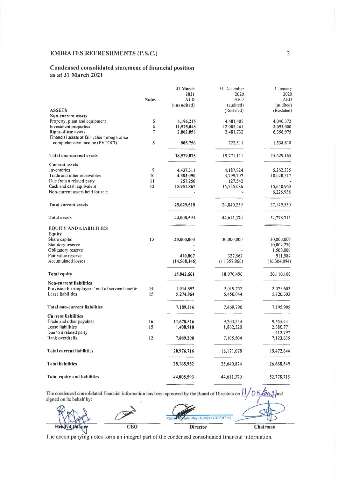### Condensed consolidated statement of financial position as at 31 March 2021

|                                                  |              | 31 March<br>2021 | 31 December<br>2020 | 1 January<br>2020 |
|--------------------------------------------------|--------------|------------------|---------------------|-------------------|
|                                                  | <b>Notes</b> | <b>AED</b>       | AED                 | <b>AED</b>        |
|                                                  |              | (unaudited)      | (audited)           | (audited)         |
| <b>ASSETS</b>                                    |              |                  | (Restated)          | (Restated)        |
| Non-current assets                               |              |                  |                     |                   |
| Property, plant and equipment                    | 5            | 4,196,215        | 4,481,407           | 4,040,372         |
| Investment properties                            | 6            | 11,975,048       | 12,085.461          | 3.693.000         |
| Right-of-use assets                              | 7            | 2,002,056        | 2,481,732           | 6,356,975         |
| Financial assets at fair value through other     |              |                  |                     |                   |
| comprehensive income (FVTOCI)                    | 8            | 805,756          | 722,511             | 1,538.818         |
| Total non-current assets                         |              | 18,979,075       | 19,771,111          | 15,629,165        |
| <b>Current assets</b>                            |              |                  |                     |                   |
| Inventories                                      | 9            | 4,437,311        | 4,187,924           | 5,262,335         |
| Trade and other receivables                      | 10           | 4,383,090        | 4.799,707           | 10,020,317        |
| Due from a related party                         | 11           | 257,250          | 127,542             |                   |
| Cash and cash equivalent                         | 12           | 15,951,867       | 15,725,086          | 15,640,960        |
| Non-current assets held for sale                 |              |                  |                     | 6,225,938         |
| Total current assets                             |              | 25,029,518       | 24,840,259          | 37,149,550        |
| <b>Total assets</b>                              |              | 44,008,593       | 44,611,370          | 52,778.715        |
| <b>EQUITY AND LIABILITIES</b>                    |              |                  |                     |                   |
| Equity                                           |              |                  |                     |                   |
| Share capital                                    | 13           | 30,000,000       | 30,000,000          | 30,000,000        |
| Statutory reserve                                |              |                  |                     | 10,002,276        |
| Obligatory reserve                               |              |                  |                     | 1,500,000         |
| Fair value reserve                               |              | 410,807          | 327,562             | 911,984           |
| <b>Accumulated losses</b>                        |              | (14, 568, 146)   | (11, 357, 066)      | (16, 304, 094)    |
| <b>Total equity</b>                              |              | 15,842,661       | 18,970,496          | 26,110,166        |
| Non-current liabilities                          |              |                  |                     |                   |
| Provision for employees' end of service benefits | 14           | 1,914,352        | 2,019,752           | 2,075,602         |
| Lease liabilities                                | 15           | 5,274,864        | 5,450,044           | 5,120,303         |
| <b>Total non-current liabilities</b>             |              | 7,189,216        | 7,469,796           | 7,195,905         |
| <b>Current liabilities</b>                       |              |                  |                     |                   |
| Trade and other payables                         | 16           | 11,678,516       | 9,203.254           | 9,555,441         |
| Lease liabilities                                | 15           | 1,408,910        | 1,862,320           | 2,380,771         |
| Due to a related party                           |              |                  |                     | 412,797           |
| Bank overdrafts                                  | 12           | 7,889,290        | 7,105,504           | 7,123,635         |
| <b>Total current liabilities</b>                 |              | 20,976,716       | 18,171,078          | 19,472,644        |
| Total liabilities                                |              | 28, 165, 932     | 25,640,874          | 26,668,549        |
| Total equity and liabilities                     |              | 44,008,593       | 44,611,370          | 52,778,715        |

 $20.3$  and 05 The condensed consolidated financial information has been approved by the Board of Directors on signed on its behalf by:

Rashea abi (May 10, 2021 12:37 GM) CEO Director Chairman He

The accompanying notes form an integral part of the condensed consolidated financial information.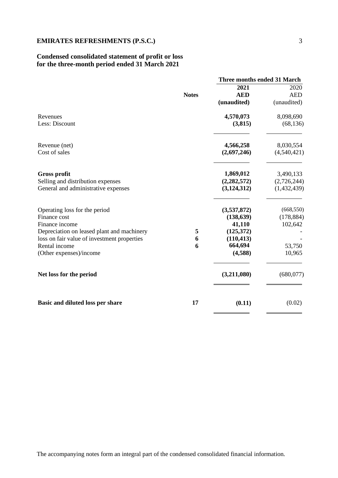# **Condensed consolidated statement of profit or loss for the three-month period ended 31 March 2021**

|                                             |              | <b>Three months ended 31 March</b> |             |
|---------------------------------------------|--------------|------------------------------------|-------------|
|                                             |              | 2021                               | 2020        |
|                                             | <b>Notes</b> | <b>AED</b>                         | <b>AED</b>  |
|                                             |              | (unaudited)                        | (unaudited) |
| Revenues                                    |              | 4,570,073                          | 8,098,690   |
| Less: Discount                              |              | (3,815)                            | (68, 136)   |
| Revenue (net)                               |              | 4,566,258                          | 8,030,554   |
| Cost of sales                               |              | (2,697,246)                        | (4,540,421) |
| <b>Gross profit</b>                         |              | 1,869,012                          | 3,490,133   |
| Selling and distribution expenses           |              | (2, 282, 572)                      | (2,726,244) |
| General and administrative expenses         |              | (3, 124, 312)                      | (1,432,439) |
| Operating loss for the period               |              | (3,537,872)                        | (668, 550)  |
| Finance cost                                |              | (138, 639)                         | (178, 884)  |
| Finance income                              |              | 41,110                             | 102,642     |
| Depreciation on leased plant and machinery  | 5            | (125,372)                          |             |
| loss on fair value of investment properties | 6            | (110, 413)                         |             |
| Rental income                               | 6            | 664,694                            | 53,750      |
| (Other expenses)/income                     |              | (4,588)                            | 10,965      |
| Net loss for the period                     |              | (3,211,080)                        | (680, 077)  |
| Basic and diluted loss per share            | 17           | (0.11)                             | (0.02)      |

 $\equiv$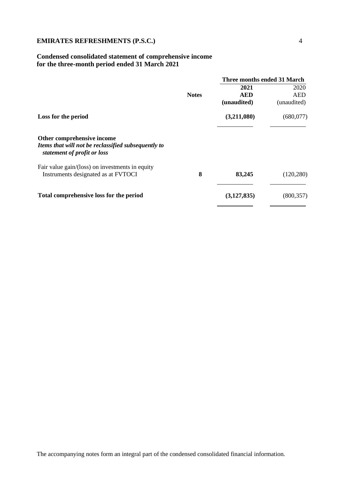# **Condensed consolidated statement of comprehensive income for the three-month period ended 31 March 2021**

|                                                                                                                  |              | Three months ended 31 March |             |
|------------------------------------------------------------------------------------------------------------------|--------------|-----------------------------|-------------|
|                                                                                                                  |              | 2021                        | 2020        |
|                                                                                                                  | <b>Notes</b> | <b>AED</b>                  | <b>AED</b>  |
|                                                                                                                  |              | (unaudited)                 | (unaudited) |
| Loss for the period                                                                                              |              | (3,211,080)                 | (680, 077)  |
| Other comprehensive income<br>Items that will not be reclassified subsequently to<br>statement of profit or loss |              |                             |             |
| Fair value gain/(loss) on investments in equity<br>Instruments designated as at FVTOCI                           | 8            | 83,245                      | (120, 280)  |
| Total comprehensive loss for the period                                                                          |              | (3, 127, 835)               | (800, 357)  |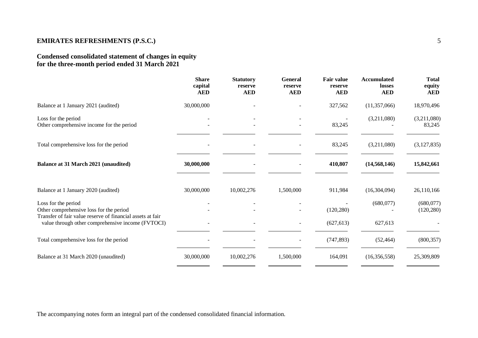# **Condensed consolidated statement of changes in equity for the three-month period ended 31 March 2021**

|                                                                                                                              | <b>Share</b><br>capital<br><b>AED</b> | <b>Statutory</b><br>reserve<br><b>AED</b> | <b>General</b><br>reserve<br><b>AED</b> | <b>Fair value</b><br>reserve<br><b>AED</b> | <b>Accumulated</b><br>losses<br><b>AED</b> | <b>Total</b><br>equity<br><b>AED</b> |
|------------------------------------------------------------------------------------------------------------------------------|---------------------------------------|-------------------------------------------|-----------------------------------------|--------------------------------------------|--------------------------------------------|--------------------------------------|
| Balance at 1 January 2021 (audited)                                                                                          | 30,000,000                            |                                           |                                         | 327,562                                    | (11, 357, 066)                             | 18,970,496                           |
| Loss for the period<br>Other comprehensive income for the period                                                             |                                       |                                           |                                         | 83,245                                     | (3,211,080)                                | (3,211,080)<br>83,245                |
| Total comprehensive loss for the period                                                                                      |                                       |                                           |                                         | 83,245                                     | (3,211,080)                                | (3,127,835)                          |
| <b>Balance at 31 March 2021 (unaudited)</b>                                                                                  | 30,000,000                            |                                           |                                         | 410,807                                    | (14, 568, 146)                             | 15,842,661                           |
| Balance at 1 January 2020 (audited)                                                                                          | 30,000,000                            | 10,002,276                                | 1,500,000                               | 911,984                                    | (16,304,094)                               | 26,110,166                           |
| Loss for the period<br>Other comprehensive loss for the period<br>Transfer of fair value reserve of financial assets at fair |                                       |                                           |                                         | (120, 280)                                 | (680,077)                                  | (680,077)<br>(120, 280)              |
| value through other comprehensive income (FVTOCI)                                                                            |                                       |                                           |                                         | (627, 613)                                 | 627,613                                    |                                      |
| Total comprehensive loss for the period                                                                                      |                                       |                                           |                                         | (747, 893)                                 | (52, 464)                                  | (800, 357)                           |
| Balance at 31 March 2020 (unaudited)                                                                                         | 30,000,000                            | 10,002,276                                | 1,500,000                               | 164,091                                    | (16,356,558)                               | 25,309,809                           |

The accompanying notes form an integral part of the condensed consolidated financial information.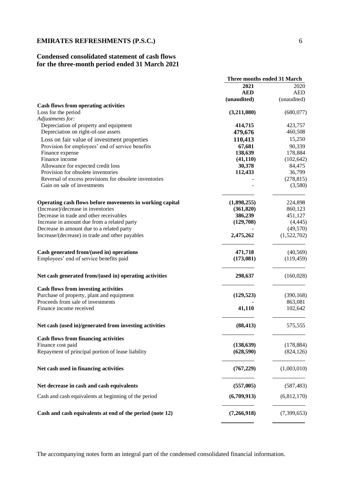# **Condensed consolidated statement of cash flows for the three-month period ended 31 March 2021**

|                                                          | Three months ended 31 March |             |
|----------------------------------------------------------|-----------------------------|-------------|
|                                                          | 2021                        | 2020        |
|                                                          | <b>AED</b>                  | <b>AED</b>  |
|                                                          | (unaudited)                 | (unaudited) |
| <b>Cash flows from operating activities</b>              |                             |             |
| Loss for the period                                      | (3,211,080)                 | (680,077)   |
| Adjustments for:                                         |                             |             |
| Depreciation of property and equipment                   | 414,715                     | 423,757     |
| Depreciation on right-of-use assets                      | 479,676                     | 460,508     |
| Loss on fair value of investment properties              | 110,413                     | 15,250      |
| Provision for employees' end of service benefits         | 67,681                      | 90,339      |
| Finance expense                                          | 138,639                     | 178,884     |
| Finance income                                           | (41, 110)                   | (102, 642)  |
| Allowance for expected credit loss                       | 30,378                      | 84,475      |
| Provision for obsolete inventories                       | 112,433                     | 36,799      |
| Reversal of excess provisions for obsolete inventories   |                             | (278, 815)  |
| Gain on sale of investments                              |                             | (3,580)     |
| Operating cash flows before movements in working capital | (1,898,255)                 | 224,898     |
| (Increase)/decrease in inventories                       | (361, 820)                  | 860,123     |
| Decrease in trade and other receivables                  | 386,239                     | 451,127     |
| Increase in amount due from a related party              | (129,708)                   | (4, 445)    |
| Decrease in amount due to a related party                |                             | (49,570)    |
| Increase/(decrease) in trade and other payables          | 2,475,262                   | (1,522,702) |
| Cash generated from/(used in) operations                 | 471,718                     | (40, 569)   |
| Employees' end of service benefits paid                  | (173,081)                   | (119, 459)  |
| Net cash generated from/(used in) operating activities   | 298,637                     | (160,028)   |
| <b>Cash flows from investing activities</b>              |                             |             |
| Purchase of property, plant and equipment                | (129, 523)                  | (390, 168)  |
| Proceeds from sale of investments                        |                             | 863,081     |
| Finance income received                                  | 41,110                      | 102,642     |
| Net cash (used in)/generated from investing activities   | (88, 413)                   | 575,555     |
|                                                          |                             |             |
| <b>Cash flows from financing activities</b>              |                             |             |
| Finance cost paid                                        | (138, 639)                  | (178, 884)  |
| Repayment of principal portion of lease liability        | (628, 590)                  | (824, 126)  |
| Net cash used in financing activities                    | (767, 229)                  | (1,003,010) |
| Net decrease in cash and cash equivalents                | (557,005)                   | (587, 483)  |
|                                                          |                             |             |
| Cash and cash equivalents at beginning of the period     | (6,709,913)                 | (6,812,170) |
| Cash and cash equivalents at end of the period (note 12) | (7,266,918)                 | (7,399,653) |
|                                                          |                             |             |

The accompanying notes form an integral part of the condensed consolidated financial information.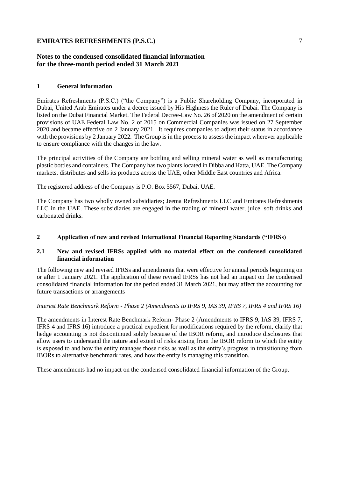# **Notes to the condensed consolidated financial information for the three-month period ended 31 March 2021**

#### **1 General information**

Emirates Refreshments (P.S.C.) ("the Company") is a Public Shareholding Company, incorporated in Dubai, United Arab Emirates under a decree issued by His Highness the Ruler of Dubai. The Company is listed on the Dubai Financial Market. The Federal Decree-Law No. 26 of 2020 on the amendment of certain provisions of UAE Federal Law No. 2 of 2015 on Commercial Companies was issued on 27 September 2020 and became effective on 2 January 2021. It requires companies to adjust their status in accordance with the provisions by 2 January 2022. The Group is in the process to assess the impact wherever applicable to ensure compliance with the changes in the law.

The principal activities of the Company are bottling and selling mineral water as well as manufacturing plastic bottles and containers. The Company has two plants located in Dibba and Hatta, UAE. The Company markets, distributes and sells its products across the UAE, other Middle East countries and Africa.

The registered address of the Company is P.O. Box 5567, Dubai, UAE.

The Company has two wholly owned subsidiaries; Jeema Refreshments LLC and Emirates Refreshments LLC in the UAE. These subsidiaries are engaged in the trading of mineral water, juice, soft drinks and carbonated drinks.

#### **2 Application of new and revised International Financial Reporting Standards ("IFRSs)**

#### **2.1 New and revised IFRSs applied with no material effect on the condensed consolidated financial information**

The following new and revised IFRSs and amendments that were effective for annual periods beginning on or after 1 January 2021. The application of these revised IFRSs has not had an impact on the condensed consolidated financial information for the period ended 31 March 2021, but may affect the accounting for future transactions or arrangements

*Interest Rate Benchmark Reform - Phase 2 (Amendments to IFRS 9, IAS 39, IFRS 7, IFRS 4 and IFRS 16)* 

The amendments in Interest Rate Benchmark Reform- Phase 2 (Amendments to IFRS 9, IAS 39, IFRS 7, IFRS 4 and IFRS 16) introduce a practical expedient for modifications required by the reform, clarify that hedge accounting is not discontinued solely because of the IBOR reform, and introduce disclosures that allow users to understand the nature and extent of risks arising from the IBOR reform to which the entity is exposed to and how the entity manages those risks as well as the entity's progress in transitioning from IBORs to alternative benchmark rates, and how the entity is managing this transition.

These amendments had no impact on the condensed consolidated financial information of the Group.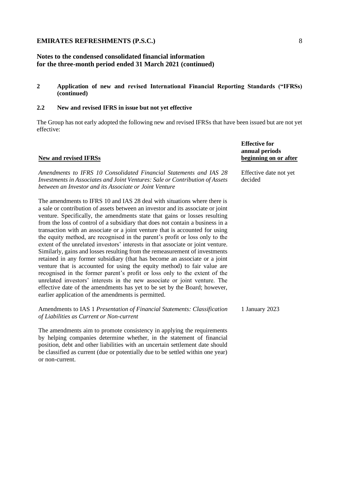# **Notes to the condensed consolidated financial information for the three-month period ended 31 March 2021 (continued)**

**2 Application of new and revised International Financial Reporting Standards ("IFRSs) (continued)**

#### **2.2 New and revised IFRS in issue but not yet effective**

The Group has not early adopted the following new and revised IFRSs that have been issued but are not yet effective:

#### **New and revised IFRSs**

**Effective for annual periods beginning on or after**

> Effective date not yet decided

*Amendments to IFRS 10 Consolidated Financial Statements and IAS 28 Investments in Associates and Joint Ventures: Sale or Contribution of Assets between an Investor and its Associate or Joint Venture*

The amendments to IFRS 10 and IAS 28 deal with situations where there is a sale or contribution of assets between an investor and its associate or joint venture. Specifically, the amendments state that gains or losses resulting from the loss of control of a subsidiary that does not contain a business in a transaction with an associate or a joint venture that is accounted for using the equity method, are recognised in the parent's profit or loss only to the extent of the unrelated investors' interests in that associate or joint venture. Similarly, gains and losses resulting from the remeasurement of investments retained in any former subsidiary (that has become an associate or a joint venture that is accounted for using the equity method) to fair value are recognised in the former parent's profit or loss only to the extent of the unrelated investors' interests in the new associate or joint venture. The effective date of the amendments has yet to be set by the Board; however, earlier application of the amendments is permitted.

Amendments to IAS 1 *Presentation of Financial Statements: Classification of Liabilities as Current or Non-current* 1 January 2023

The amendments aim to promote consistency in applying the requirements by helping companies determine whether, in the statement of financial position, debt and other liabilities with an uncertain settlement date should be classified as current (due or potentially due to be settled within one year) or non-current.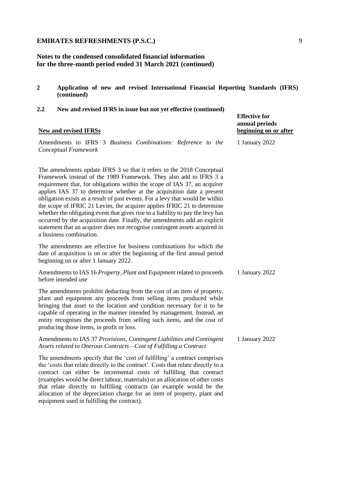# **Notes to the condensed consolidated financial information for the three-month period ended 31 March 2021 (continued)**

**2 Application of new and revised International Financial Reporting Standards (IFRS) (continued)**

# **2.2 New and revised IFRS in issue but not yet effective (continued)**

(examples would be direct labour, materials) or an allocation of other costs that relate directly to fulfilling contracts (an example would be the allocation of the depreciation charge for an item of property, plant and

equipment used in fulfilling the contract).

| <b>New and revised IFRSs</b>                                                                                                                                                                                                                                                                                                                                                                                                                                                                                                                                                                                                                                                                                                             | <b>Effective for</b><br>annual periods<br>beginning on or after |
|------------------------------------------------------------------------------------------------------------------------------------------------------------------------------------------------------------------------------------------------------------------------------------------------------------------------------------------------------------------------------------------------------------------------------------------------------------------------------------------------------------------------------------------------------------------------------------------------------------------------------------------------------------------------------------------------------------------------------------------|-----------------------------------------------------------------|
| Amendments to IFRS 3 Business Combinations: Reference to the<br>Conceptual Framework                                                                                                                                                                                                                                                                                                                                                                                                                                                                                                                                                                                                                                                     | 1 January 2022                                                  |
| The amendments update IFRS 3 so that it refers to the 2018 Conceptual<br>Framework instead of the 1989 Framework. They also add to IFRS 3 a<br>requirement that, for obligations within the scope of IAS 37, an acquirer<br>applies IAS 37 to determine whether at the acquisition date a present<br>obligation exists as a result of past events. For a levy that would be within<br>the scope of IFRIC 21 Levies, the acquirer applies IFRIC 21 to determine<br>whether the obligating event that gives rise to a liability to pay the levy has<br>occurred by the acquisition date. Finally, the amendments add an explicit<br>statement that an acquirer does not recognise contingent assets acquired in<br>a business combination. |                                                                 |
| The amendments are effective for business combinations for which the<br>date of acquisition is on or after the beginning of the first annual period<br>beginning on or after 1 January 2022.                                                                                                                                                                                                                                                                                                                                                                                                                                                                                                                                             |                                                                 |
| Amendments to IAS 16 Property, Plant and Equipment related to proceeds<br>before intended use                                                                                                                                                                                                                                                                                                                                                                                                                                                                                                                                                                                                                                            | 1 January 2022                                                  |
| The amendments prohibit deducting from the cost of an item of property,<br>plant and equipment any proceeds from selling items produced while<br>bringing that asset to the location and condition necessary for it to be<br>capable of operating in the manner intended by management. Instead, an<br>entity recognises the proceeds from selling such items, and the cost of<br>producing those items, in profit or loss.                                                                                                                                                                                                                                                                                                              |                                                                 |
| Amendments to IAS 37 Provisions, Contingent Liabilities and Contingent<br>Assets related to Onerous Contracts-Cost of Fulfilling a Contract                                                                                                                                                                                                                                                                                                                                                                                                                                                                                                                                                                                              | 1 January 2022                                                  |
| The amendments specify that the 'cost of fulfilling' a contract comprises<br>the 'costs that relate directly to the contract'. Costs that relate directly to a<br>contract can either be incremental costs of fulfilling that contract                                                                                                                                                                                                                                                                                                                                                                                                                                                                                                   |                                                                 |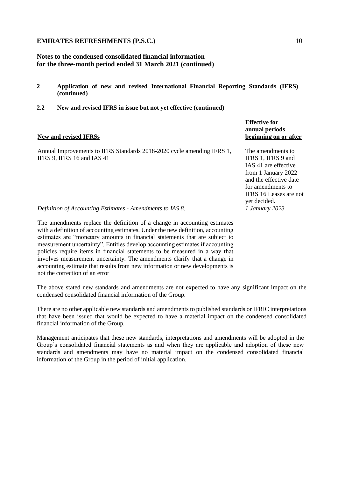# **Notes to the condensed consolidated financial information for the three-month period ended 31 March 2021 (continued)**

- **2 Application of new and revised International Financial Reporting Standards (IFRS) (continued)**
- **2.2 New and revised IFRS in issue but not yet effective (continued)**

#### **New and revised IFRSs**

Annual Improvements to IFRS Standards 2018-2020 cycle amending IFRS 1, IFRS 9, IFRS 16 and IAS 41

**Effective for annual periods beginning on or after**

The amendments to IFRS 1, IFRS 9 and IAS 41 are effective from 1 January 2022 and the effective date for amendments to IFRS 16 Leases are not yet decided. *1 January 2023*

*Definition of Accounting Estimates - Amendments to IAS 8.*

The amendments replace the definition of a change in accounting estimates with a definition of accounting estimates. Under the new definition, accounting estimates are "monetary amounts in financial statements that are subject to measurement uncertainty". Entities develop accounting estimates if accounting policies require items in financial statements to be measured in a way that involves measurement uncertainty. The amendments clarify that a change in accounting estimate that results from new information or new developments is not the correction of an error

The above stated new standards and amendments are not expected to have any significant impact on the condensed consolidated financial information of the Group.

There are no other applicable new standards and amendments to published standards or IFRIC interpretations that have been issued that would be expected to have a material impact on the condensed consolidated financial information of the Group.

Management anticipates that these new standards, interpretations and amendments will be adopted in the Group's consolidated financial statements as and when they are applicable and adoption of these new standards and amendments may have no material impact on the condensed consolidated financial information of the Group in the period of initial application.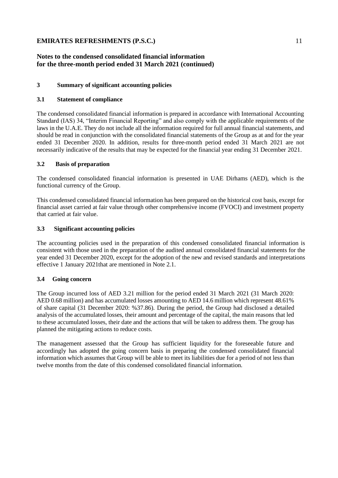# **Notes to the condensed consolidated financial information for the three-month period ended 31 March 2021 (continued)**

### **3 Summary of significant accounting policies**

### **3.1 Statement of compliance**

The condensed consolidated financial information is prepared in accordance with International Accounting Standard (IAS) 34, "Interim Financial Reporting" and also comply with the applicable requirements of the laws in the U.A.E. They do not include all the information required for full annual financial statements, and should be read in conjunction with the consolidated financial statements of the Group as at and for the year ended 31 December 2020. In addition, results for three-month period ended 31 March 2021 are not necessarily indicative of the results that may be expected for the financial year ending 31 December 2021.

### **3.2 Basis of preparation**

The condensed consolidated financial information is presented in UAE Dirhams (AED), which is the functional currency of the Group.

This condensed consolidated financial information has been prepared on the historical cost basis, except for financial asset carried at fair value through other comprehensive income (FVOCI) and investment property that carried at fair value.

### **3.3 Significant accounting policies**

The accounting policies used in the preparation of this condensed consolidated financial information is consistent with those used in the preparation of the audited annual consolidated financial statements for the year ended 31 December 2020, except for the adoption of the new and revised standards and interpretations effective 1 January 2021that are mentioned in Note 2.1.

### **3.4 Going concern**

The Group incurred loss of AED 3.21 million for the period ended 31 March 2021 (31 March 2020: AED 0.68 million) and has accumulated losses amounting to AED 14.6 million which represent 48.61% of share capital (31 December 2020: %37.86). During the period, the Group had disclosed a detailed analysis of the accumulated losses, their amount and percentage of the capital, the main reasons that led to these accumulated losses, their date and the actions that will be taken to address them. The group has planned the mitigating actions to reduce costs.

The management assessed that the Group has sufficient liquidity for the foreseeable future and accordingly has adopted the going concern basis in preparing the condensed consolidated financial information which assumes that Group will be able to meet its liabilities due for a period of not less than twelve months from the date of this condensed consolidated financial information.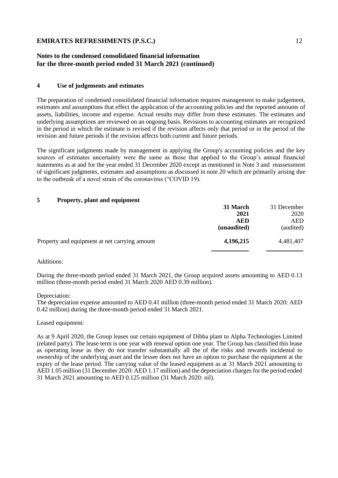# **Notes to the condensed consolidated financial information for the three-month period ended 31 March 2021 (continued)**

# **4 Use of judgements and estimates**

The preparation of condensed consolidated financial information requires management to make judgement, estimates and assumptions that effect the application of the accounting policies and the reported amounts of assets, liabilities, income and expense. Actual results may differ from these estimates. The estimates and underlying assumptions are reviewed on an ongoing basis. Revisions to accounting estimates are recognized in the period in which the estimate is revised if the revision affects only that period or in the period of the revision and future periods if the revision affects both current and future periods.

The significant judgments made by management in applying the Group's accounting policies and the key sources of estimates uncertainty were the same as those that applied to the Group's annual financial statements as at and for the year ended 31 December 2020 except as mentioned in Note 3 and reassessment of significant judgments, estimates and assumptions as discussed in note 20 which are primarily arising due to the outbreak of a novel strain of the coronavirus ("COVID 19).

# **5 Property, plant and equipment**

|                                               | 31 March    | 31 December |
|-----------------------------------------------|-------------|-------------|
|                                               | 2021        | 2020        |
|                                               | <b>AED</b>  | AED         |
|                                               | (unaudited) | (audited)   |
| Property and equipment at net carrying amount | 4,196,215   | 4,481,407   |
|                                               |             |             |

### Additions:

During the three-month period ended 31 March 2021, the Group acquired assets amounting to AED 0.13 million (three-month period ended 31 March 2020 AED 0.39 million).

### Depreciation:

The depreciation expense amounted to AED 0.41 million (three-month period ended 31 March 2020: AED 0.42 million) during the three-month period ended 31 March 2021.

### Leased equipment:

As at 9 April 2020, the Group leases out certain equipment of Dibba plant to Alpha Technologies Limited (related party). The lease term is one year with renewal option one year. The Group has classified this lease as operating lease as they do not transfer substantially all the of the risks and rewards incidental to ownership of the underlying asset and the lessee does not have an option to purchase the equipment at the expiry of the lease period. The carrying value of the leased equipment as at 31 March 2021 amounting to AED 1.05 million (31 December 2020: AED 1.17 million) and the depreciation charges for the period ended 31 March 2021 amounting to AED 0.125 million (31 March 2020: nil).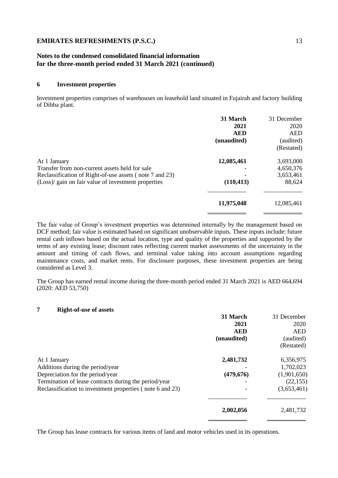# **Notes to the condensed consolidated financial information for the three-month period ended 31 March 2021 (continued)**

### **6 Investment properties**

Investment properties comprises of warehouses on leasehold land situated in Fujairah and factory building of Dibba plant.

| 31 March    | 31 December |
|-------------|-------------|
| 2021        | 2020        |
| <b>AED</b>  | <b>AED</b>  |
| (unaudited) | (audited)   |
|             | (Restated)  |
| 12,085,461  | 3,693,000   |
|             | 4,650,376   |
|             | 3,653,461   |
| (110, 413)  | 88,624      |
| 11,975,048  | 12,085,461  |
|             |             |

The fair value of Group's investment properties was determined internally by the management based on DCF method; fair value is estimated based on significant unobservable inputs. These inputs include: future rental cash inflows based on the actual location, type and quality of the properties and supported by the terms of any existing lease; discount rates reflecting current market assessments of the uncertainty in the amount and timing of cash flows, and terminal value taking into account assumptions regarding maintenance costs, and market rents. For disclosure purposes, these investment properties are being considered as Level 3.

The Group has earned rental income during the three-month period ended 31 March 2021 is AED 664,694 (2020: AED 53,750)

### **7 Right-of-use of assets**

| 31 March    | 31 December |
|-------------|-------------|
| 2021        | 2020        |
| <b>AED</b>  | <b>AED</b>  |
| (unaudited) | (audited)   |
|             | (Restated)  |
| 2,481,732   | 6,356,975   |
|             | 1,702,023   |
| (479, 676)  | (1,901,650) |
|             | (22, 155)   |
|             | (3,653,461) |
|             | 2,481,732   |
|             | 2,002,056   |

The Group has lease contracts for various items of land and motor vehicles used in its operations.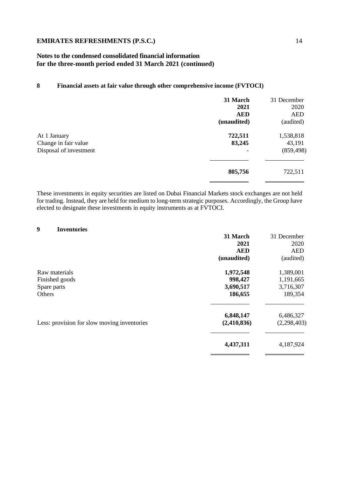# **Notes to the condensed consolidated financial information for the three-month period ended 31 March 2021 (continued)**

# **8 Financial assets at fair value through other comprehensive income (FVTOCI)**

|                                                                | 31 March<br>2021          | 31 December<br>2020               |
|----------------------------------------------------------------|---------------------------|-----------------------------------|
|                                                                | <b>AED</b><br>(unaudited) | <b>AED</b><br>(audited)           |
| At 1 January<br>Change in fair value<br>Disposal of investment | 722,511<br>83,245         | 1,538,818<br>43,191<br>(859, 498) |
|                                                                | 805,756                   | 722,511                           |

These investments in equity securities are listed on Dubai Financial Markets stock exchanges are not held for trading. Instead, they are held for medium to long-term strategic purposes. Accordingly, the Group have elected to designate these investments in equity instruments as at FVTOCI.

# **9 Inventories**

| 31 March    | 31 December |
|-------------|-------------|
| 2021        | 2020        |
| <b>AED</b>  | AED         |
| (unaudited) | (audited)   |
| 1,972,548   | 1,389,001   |
| 998,427     | 1,191,665   |
| 3,690,517   | 3,716,307   |
| 186,655     | 189,354     |
|             | 6,486,327   |
| (2,410,836) | (2,298,403) |
| 4,437,311   | 4,187,924   |
|             | 6,848,147   |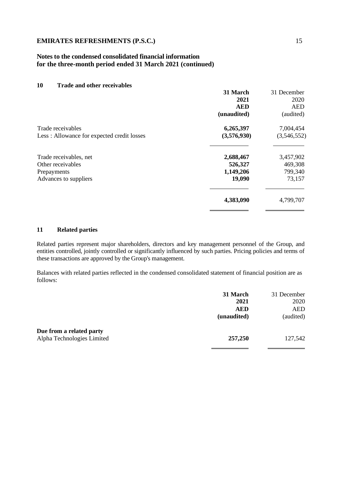# **Notes to the condensed consolidated financial information for the three-month period ended 31 March 2021 (continued)**

# **10 Trade and other receivables 31 March** 31 December **2021** 2020 **AED** AED **(unaudited)** (audited) Trade receivables **6,265,397** 7,004,454 Less : Allowance for expected credit losses **(3,576,930)** (3,546,552)  $\overline{a}$ Trade receivables, net **2,688,467** 3,457,902 Other receivables **526,327** 469,308<br>Prepayments **1,149,206** 799,340 Prepayments **1,149,206** 799,340 Advances to suppliers **19,090** 73,157  $\overline{a}$ **4,383,090** 4,799,707  $\overline{a}$

## **11 Related parties**

Related parties represent major shareholders, directors and key management personnel of the Group, and entities controlled, jointly controlled or significantly influenced by such parties. Pricing policies and terms of these transactions are approved by the Group's management.

Balances with related parties reflected in the condensed consolidated statement of financial position are as follows:

|                            | 31 March    | 31 December |
|----------------------------|-------------|-------------|
|                            | 2021        | 2020        |
|                            | <b>AED</b>  | <b>AED</b>  |
|                            | (unaudited) | (audited)   |
| Due from a related party   |             |             |
| Alpha Technologies Limited | 257,250     | 127,542     |
|                            |             |             |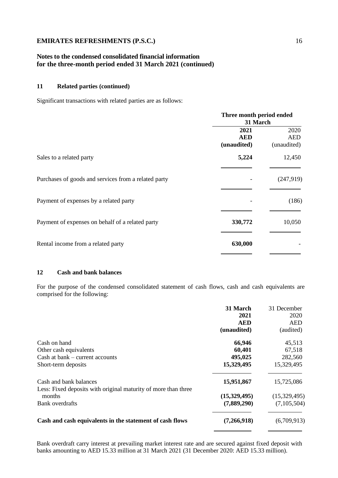# **Notes to the condensed consolidated financial information for the three-month period ended 31 March 2021 (continued)**

#### **11 Related parties (continued)**

Significant transactions with related parties are as follows:

|                                                      | Three month period ended<br>31 March |                                   |
|------------------------------------------------------|--------------------------------------|-----------------------------------|
|                                                      | 2021<br><b>AED</b><br>(unaudited)    | 2020<br><b>AED</b><br>(unaudited) |
| Sales to a related party                             | 5,224                                | 12,450                            |
| Purchases of goods and services from a related party |                                      | (247,919)                         |
| Payment of expenses by a related party               |                                      | (186)                             |
| Payment of expenses on behalf of a related party     | 330,772                              | 10,050                            |
| Rental income from a related party                   | 630,000                              |                                   |

#### **12 Cash and bank balances**

For the purpose of the condensed consolidated statement of cash flows, cash and cash equivalents are comprised for the following:

|                                                                          | 31 March     | 31 December  |
|--------------------------------------------------------------------------|--------------|--------------|
|                                                                          | 2021         | 2020         |
|                                                                          | <b>AED</b>   | <b>AED</b>   |
|                                                                          | (unaudited)  | (audited)    |
| Cash on hand                                                             | 66,946       | 45,513       |
| Other cash equivalents                                                   | 60,401       | 67,518       |
| Cash at bank – current accounts                                          | 495,025      | 282,560      |
| Short-term deposits                                                      | 15,329,495   | 15,329,495   |
| Cash and bank balances                                                   | 15,951,867   | 15,725,086   |
| Less: Fixed deposits with original maturity of more than three<br>months | (15,329,495) | (15,329,495) |
| Bank overdrafts                                                          | (7,889,290)  | (7,105,504)  |
| Cash and cash equivalents in the statement of cash flows                 | (7,266,918)  | (6,709,913)  |
|                                                                          |              |              |

Bank overdraft carry interest at prevailing market interest rate and are secured against fixed deposit with banks amounting to AED 15.33 million at 31 March 2021 (31 December 2020: AED 15.33 million).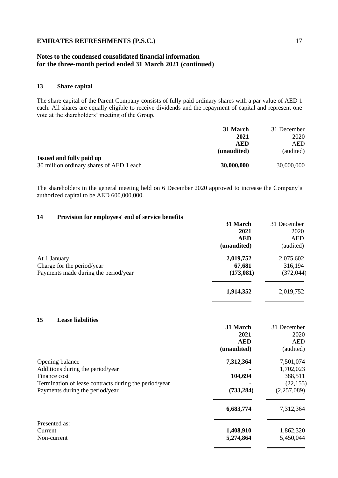# **Notes to the condensed consolidated financial information for the three-month period ended 31 March 2021 (continued)**

#### **13 Share capital**

The share capital of the Parent Company consists of fully paid ordinary shares with a par value of AED 1 each. All shares are equally eligible to receive dividends and the repayment of capital and represent one vote at the shareholders' meeting of the Group.

|                                          | 31 March    | 31 December |
|------------------------------------------|-------------|-------------|
|                                          | 2021        | 2020        |
|                                          | AED         | <b>AED</b>  |
|                                          | (unaudited) | (audited)   |
| Issued and fully paid up                 |             |             |
| 30 million ordinary shares of AED 1 each | 30,000,000  | 30,000,000  |
|                                          |             |             |

The shareholders in the general meeting held on 6 December 2020 approved to increase the Company's authorized capital to be AED 600,000,000.

#### **14 Provision for employees' end of service benefits**

| 31 March    | 31 December |
|-------------|-------------|
| 2021        | 2020        |
| <b>AED</b>  | <b>AED</b>  |
| (unaudited) | (audited)   |
| 2,019,752   | 2,075,602   |
| 67,681      | 316,194     |
| (173,081)   | (372, 044)  |
| 1,914,352   | 2,019,752   |
|             |             |

#### **15 Lease liabilities**

|                                                       | 31 March    | 31 December |
|-------------------------------------------------------|-------------|-------------|
|                                                       | 2021        | 2020        |
|                                                       | <b>AED</b>  | <b>AED</b>  |
|                                                       | (unaudited) | (audited)   |
| Opening balance                                       | 7,312,364   | 7,501,074   |
| Additions during the period/year                      |             | 1,702,023   |
| Finance cost                                          | 104,694     | 388,511     |
| Termination of lease contracts during the period/year |             | (22, 155)   |
| Payments during the period/year                       | (733, 284)  | (2,257,089) |
|                                                       | 6,683,774   | 7,312,364   |
| Presented as:                                         |             |             |
| Current                                               | 1,408,910   | 1,862,320   |
| Non-current                                           | 5,274,864   | 5,450,044   |

 $\overline{a}$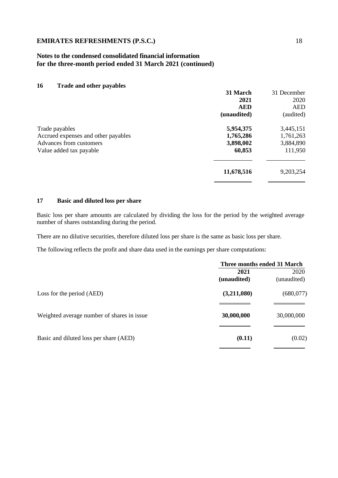# **Notes to the condensed consolidated financial information for the three-month period ended 31 March 2021 (continued)**

### **16 Trade and other payables**

|                                     | 31 March    | 31 December |
|-------------------------------------|-------------|-------------|
|                                     | 2021        | 2020        |
|                                     | <b>AED</b>  | <b>AED</b>  |
|                                     | (unaudited) | (audited)   |
| Trade payables                      | 5,954,375   | 3,445,151   |
| Accrued expenses and other payables | 1,765,286   | 1,761,263   |
| Advances from customers             | 3,898,002   | 3,884,890   |
| Value added tax payable             | 60,853      | 111,950     |
|                                     | 11,678,516  | 9,203,254   |
|                                     |             |             |

#### **17 Basic and diluted loss per share**

Basic loss per share amounts are calculated by dividing the loss for the period by the weighted average number of shares outstanding during the period.

There are no dilutive securities, therefore diluted loss per share is the same as basic loss per share.

The following reflects the profit and share data used in the earnings per share computations:

|                                            | Three months ended 31 March |                     |
|--------------------------------------------|-----------------------------|---------------------|
|                                            | 2021<br>(unaudited)         | 2020<br>(unaudited) |
| Loss for the period (AED)                  | (3,211,080)                 | (680, 077)          |
| Weighted average number of shares in issue | 30,000,000                  | 30,000,000          |
| Basic and diluted loss per share (AED)     | (0.11)                      | (0.02)              |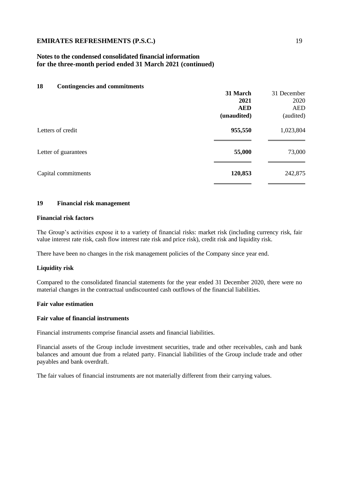# **Notes to the condensed consolidated financial information for the three-month period ended 31 March 2021 (continued)**

| 18<br><b>Contingencies and commitments</b> |             |             |
|--------------------------------------------|-------------|-------------|
|                                            | 31 March    | 31 December |
|                                            | 2021        | 2020        |
|                                            | <b>AED</b>  | <b>AED</b>  |
|                                            | (unaudited) | (audited)   |
| Letters of credit                          | 955,550     | 1,023,804   |
| Letter of guarantees                       | 55,000      | 73,000      |
| Capital commitments                        | 120,853     | 242,875     |

# **19 Financial risk management**

### **Financial risk factors**

The Group's activities expose it to a variety of financial risks: market risk (including currency risk, fair value interest rate risk, cash flow interest rate risk and price risk), credit risk and liquidity risk.

There have been no changes in the risk management policies of the Company since year end.

### **Liquidity risk**

Compared to the consolidated financial statements for the year ended 31 December 2020, there were no material changes in the contractual undiscounted cash outflows of the financial liabilities.

#### **Fair value estimation**

#### **Fair value of financial instruments**

Financial instruments comprise financial assets and financial liabilities.

Financial assets of the Group include investment securities, trade and other receivables, cash and bank balances and amount due from a related party. Financial liabilities of the Group include trade and other payables and bank overdraft.

The fair values of financial instruments are not materially different from their carrying values.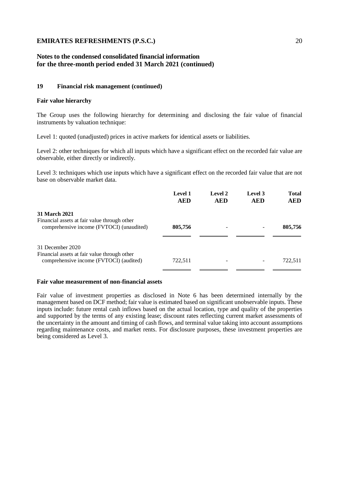# **Notes to the condensed consolidated financial information for the three-month period ended 31 March 2021 (continued)**

#### **19 Financial risk management (continued)**

#### **Fair value hierarchy**

The Group uses the following hierarchy for determining and disclosing the fair value of financial instruments by valuation technique:

Level 1: quoted (unadjusted) prices in active markets for identical assets or liabilities.

Level 2: other techniques for which all inputs which have a significant effect on the recorded fair value are observable, either directly or indirectly.

Level 3: techniques which use inputs which have a significant effect on the recorded fair value that are not base on observable market data.

|                                                                                         | <b>Level 1</b><br><b>AED</b> | Level 2<br><b>AED</b> | Level 3<br><b>AED</b> | <b>Total</b><br><b>AED</b> |
|-----------------------------------------------------------------------------------------|------------------------------|-----------------------|-----------------------|----------------------------|
| 31 March 2021<br>Financial assets at fair value through other                           |                              |                       |                       |                            |
| comprehensive income (FVTOCI) (unaudited)                                               | 805,756                      |                       |                       | 805,756                    |
| 31 December 2020                                                                        |                              |                       |                       |                            |
| Financial assets at fair value through other<br>comprehensive income (FVTOCI) (audited) | 722,511                      |                       |                       | 722,511                    |

#### **Fair value measurement of non-financial assets**

Fair value of investment properties as disclosed in Note 6 has been determined internally by the management based on DCF method; fair value is estimated based on significant unobservable inputs. These inputs include: future rental cash inflows based on the actual location, type and quality of the properties and supported by the terms of any existing lease; discount rates reflecting current market assessments of the uncertainty in the amount and timing of cash flows, and terminal value taking into account assumptions regarding maintenance costs, and market rents. For disclosure purposes, these investment properties are being considered as Level 3.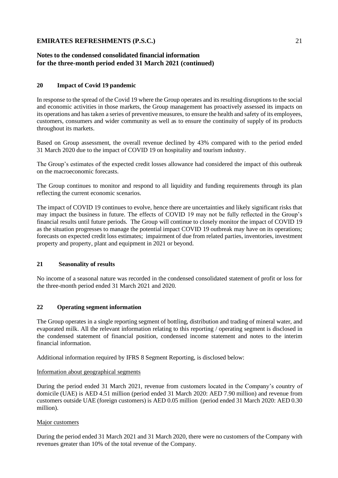# **Notes to the condensed consolidated financial information for the three-month period ended 31 March 2021 (continued)**

## **20 Impact of Covid 19 pandemic**

In response to the spread of the Covid 19 where the Group operates and its resulting disruptions to the social and economic activities in those markets, the Group management has proactively assessed its impacts on its operations and has taken a series of preventive measures, to ensure the health and safety of its employees, customers, consumers and wider community as well as to ensure the continuity of supply of its products throughout its markets.

Based on Group assessment, the overall revenue declined by 43% compared with to the period ended 31 March 2020 due to the impact of COVID 19 on hospitality and tourism industry.

The Group's estimates of the expected credit losses allowance had considered the impact of this outbreak on the macroeconomic forecasts.

The Group continues to monitor and respond to all liquidity and funding requirements through its plan reflecting the current economic scenarios.

The impact of COVID 19 continues to evolve, hence there are uncertainties and likely significant risks that may impact the business in future. The effects of COVID 19 may not be fully reflected in the Group's financial results until future periods. The Group will continue to closely monitor the impact of COVID 19 as the situation progresses to manage the potential impact COVID 19 outbreak may have on its operations; forecasts on expected credit loss estimates; impairment of due from related parties, inventories, investment property and property, plant and equipment in 2021 or beyond.

# **21 Seasonality of results**

No income of a seasonal nature was recorded in the condensed consolidated statement of profit or loss for the three-month period ended 31 March 2021 and 2020.

### **22 Operating segment information**

The Group operates in a single reporting segment of bottling, distribution and trading of mineral water, and evaporated milk. All the relevant information relating to this reporting / operating segment is disclosed in the condensed statement of financial position, condensed income statement and notes to the interim financial information.

Additional information required by IFRS 8 Segment Reporting, is disclosed below:

#### Information about geographical segments

During the period ended 31 March 2021, revenue from customers located in the Company's country of domicile (UAE) is AED 4.51 million (period ended 31 March 2020: AED 7.90 million) and revenue from customers outside UAE (foreign customers) is AED 0.05 million (period ended 31 March 2020: AED 0.30 million).

### Major customers

During the period ended 31 March 2021 and 31 March 2020, there were no customers of the Company with revenues greater than 10% of the total revenue of the Company.